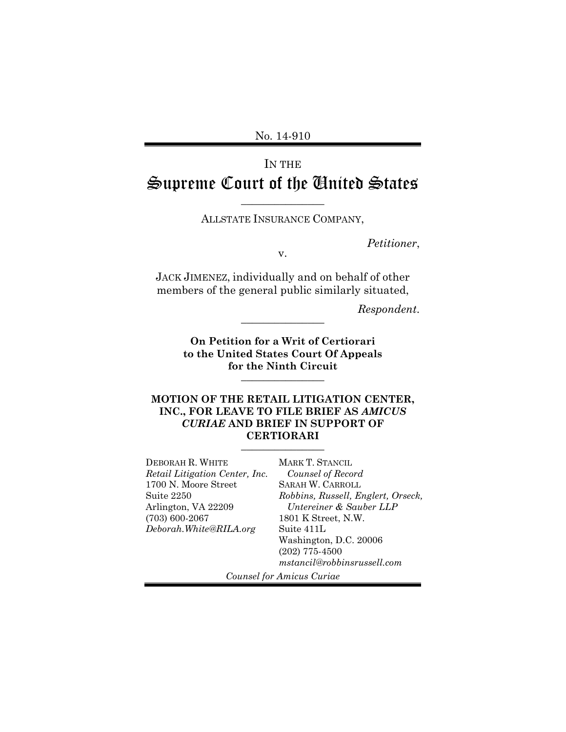No. 14-910

# IN THE Supreme Court of the United States

ALLSTATE INSURANCE COMPANY,

 $\overline{\phantom{a}}$  , where  $\overline{\phantom{a}}$ 

*Petitioner*, v.

JACK JIMENEZ, individually and on behalf of other members of the general public similarly situated,

*Respondent*. \_\_\_\_\_\_\_\_\_\_\_\_\_\_\_

**On Petition for a Writ of Certiorari to the United States Court Of Appeals for the Ninth Circuit**   $\overline{\phantom{a}}$  , where  $\overline{\phantom{a}}$ 

#### **MOTION OF THE RETAIL LITIGATION CENTER, INC., FOR LEAVE TO FILE BRIEF AS** *AMICUS CURIAE* **AND BRIEF IN SUPPORT OF CERTIORARI**  $\overline{\phantom{a}}$  , where  $\overline{\phantom{a}}$

DEBORAH R. WHITE *Retail Litigation Center, Inc.*  1700 N. Moore Street Suite 2250 Arlington, VA 22209 (703) 600-2067 *Deborah.White@RILA.org*  MARK T. STANCIL *Counsel of Record*  SARAH W. CARROLL *Robbins, Russell, Englert, Orseck, Untereiner & Sauber LLP* 1801 K Street, N.W. Suite 411L Washington, D.C. 20006 (202) 775-4500 *mstancil@robbinsrussell.com*

*Counsel for Amicus Curiae*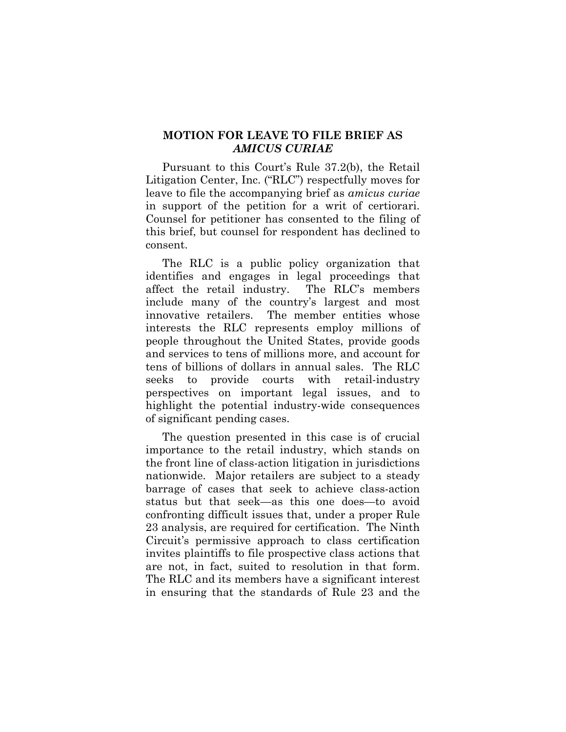#### **MOTION FOR LEAVE TO FILE BRIEF AS**  *AMICUS CURIAE*

Pursuant to this Court's Rule 37.2(b), the Retail Litigation Center, Inc. ("RLC") respectfully moves for leave to file the accompanying brief as *amicus curiae*  in support of the petition for a writ of certiorari. Counsel for petitioner has consented to the filing of this brief, but counsel for respondent has declined to consent.

The RLC is a public policy organization that identifies and engages in legal proceedings that affect the retail industry. The RLC's members include many of the country's largest and most innovative retailers. The member entities whose interests the RLC represents employ millions of people throughout the United States, provide goods and services to tens of millions more, and account for tens of billions of dollars in annual sales. The RLC seeks to provide courts with retail-industry perspectives on important legal issues, and to highlight the potential industry-wide consequences of significant pending cases.

The question presented in this case is of crucial importance to the retail industry, which stands on the front line of class-action litigation in jurisdictions nationwide. Major retailers are subject to a steady barrage of cases that seek to achieve class-action status but that seek—as this one does—to avoid confronting difficult issues that, under a proper Rule 23 analysis, are required for certification. The Ninth Circuit's permissive approach to class certification invites plaintiffs to file prospective class actions that are not, in fact, suited to resolution in that form. The RLC and its members have a significant interest in ensuring that the standards of Rule 23 and the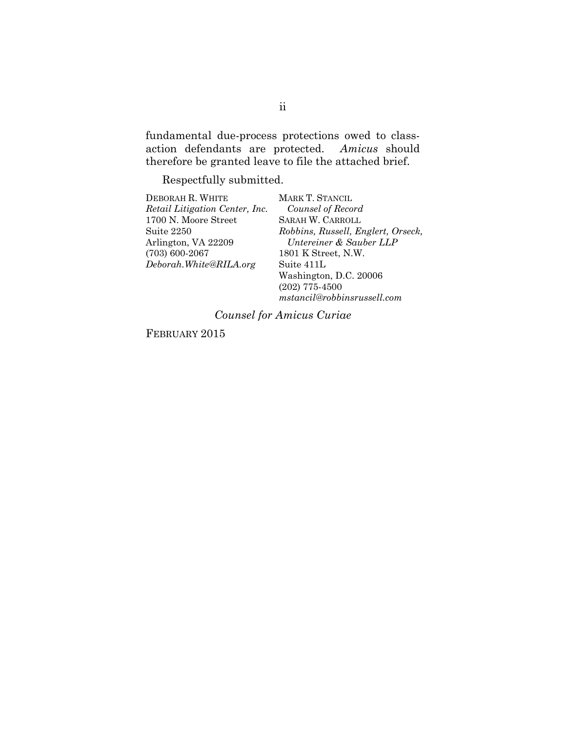fundamental due-process protections owed to classaction defendants are protected. *Amicus* should therefore be granted leave to file the attached brief.

Respectfully submitted.

| DEBORAH R. WHITE               | MARK T. STANCIL                    |
|--------------------------------|------------------------------------|
| Retail Litigation Center, Inc. | Counsel of Record                  |
| 1700 N. Moore Street           | SARAH W. CARROLL                   |
| Suite 2250                     | Robbins, Russell, Englert, Orseck, |
| Arlington, VA 22209            | Untereiner & Sauber LLP            |
| $(703) 600 - 2067$             | 1801 K Street, N.W.                |
| Deborah.White@RILA.org         | Suite 411L                         |
|                                | Washington, D.C. 20006             |
|                                | $(202)$ 775-4500                   |
|                                | mstancil@robbinsrussell.com        |

*Counsel for Amicus Curiae* 

FEBRUARY 2015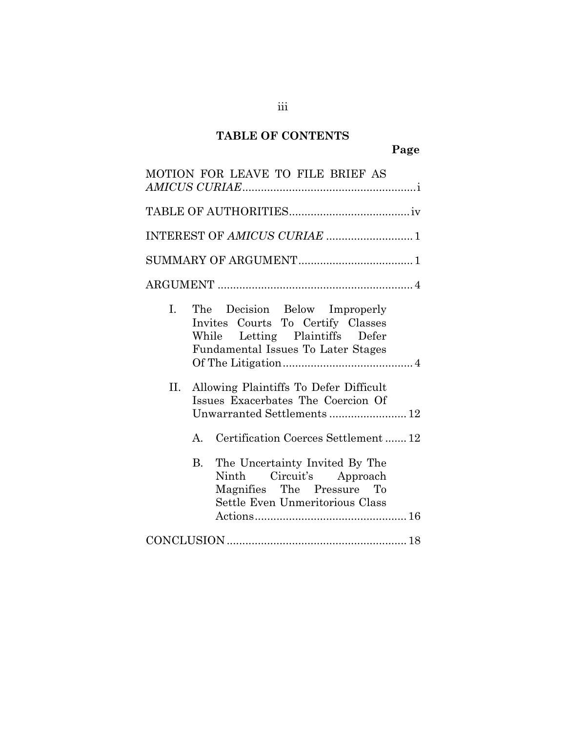# **TABLE OF CONTENTS**

| MOTION FOR LEAVE TO FILE BRIEF AS                                                                                                                                       |
|-------------------------------------------------------------------------------------------------------------------------------------------------------------------------|
|                                                                                                                                                                         |
| INTEREST OF AMICUS CURIAE  1                                                                                                                                            |
|                                                                                                                                                                         |
|                                                                                                                                                                         |
| L.<br>The Decision Below Improperly<br>Invites Courts To Certify Classes<br>While Letting Plaintiffs Defer<br>Fundamental Issues To Later Stages                        |
| Allowing Plaintiffs To Defer Difficult<br>П.<br>Issues Exacerbates The Coercion Of<br>Unwarranted Settlements  12<br>Certification Coerces Settlement12<br>$\mathbf{A}$ |
| The Uncertainty Invited By The<br><b>B.</b><br>Ninth Circuit's Approach<br>Magnifies The Pressure To<br>Settle Even Unmeritorious Class                                 |
|                                                                                                                                                                         |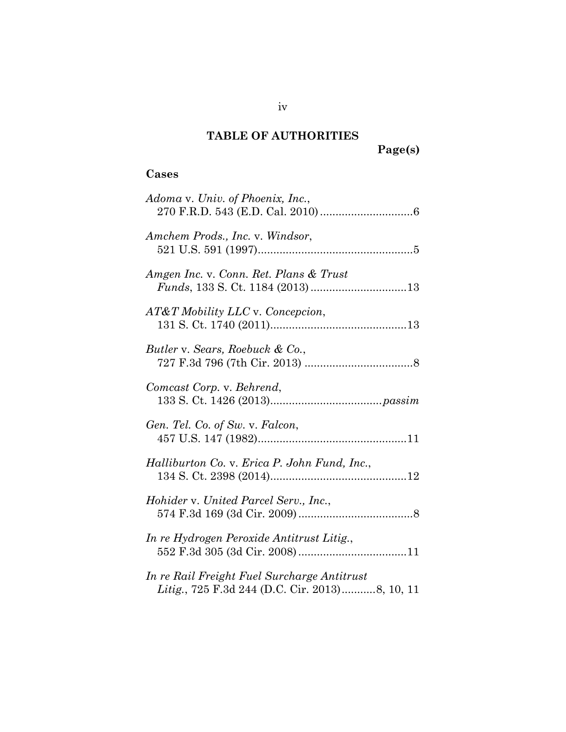# **TABLE OF AUTHORITIES**

**Page(s)** 

### **Cases**

| Adoma v. Univ. of Phoenix, Inc.,                                                              |
|-----------------------------------------------------------------------------------------------|
| Amchem Prods., Inc. v. Windsor,                                                               |
| Amgen Inc. v. Conn. Ret. Plans & Trust                                                        |
| AT&T Mobility LLC v. Concepcion,                                                              |
| Butler v. Sears, Roebuck & Co.,                                                               |
| Comcast Corp. v. Behrend,                                                                     |
| Gen. Tel. Co. of Sw. v. Falcon,                                                               |
| Halliburton Co. v. Erica P. John Fund, Inc.,                                                  |
| Hohider v. United Parcel Serv., Inc.,                                                         |
| In re Hydrogen Peroxide Antitrust Litig.,                                                     |
| In re Rail Freight Fuel Surcharge Antitrust<br>Litig., 725 F.3d 244 (D.C. Cir. 2013)8, 10, 11 |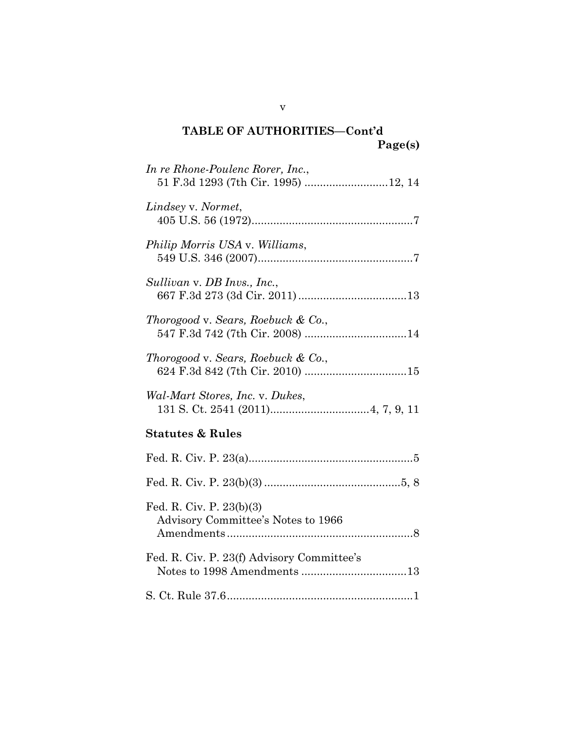## **TABLE OF AUTHORITIES—Cont'd Page(s)**

| In re Rhone-Poulenc Rorer, Inc.,<br>51 F.3d 1293 (7th Cir. 1995)  12, 14 |
|--------------------------------------------------------------------------|
| Lindsey v. Normet,                                                       |
| Philip Morris USA v. Williams,                                           |
| Sullivan v. DB Invs., Inc.,                                              |
| Thorogood v. Sears, Roebuck & Co.,                                       |
| Thorogood v. Sears, Roebuck & Co.,                                       |
| Wal-Mart Stores, Inc. v. Dukes,                                          |
| <b>Statutes &amp; Rules</b>                                              |
|                                                                          |
|                                                                          |
| Fed. R. Civ. P. $23(b)(3)$<br>Advisory Committee's Notes to 1966         |

| Fed. R. Civ. P. 23(f) Advisory Committee's |
|--------------------------------------------|
|                                            |

v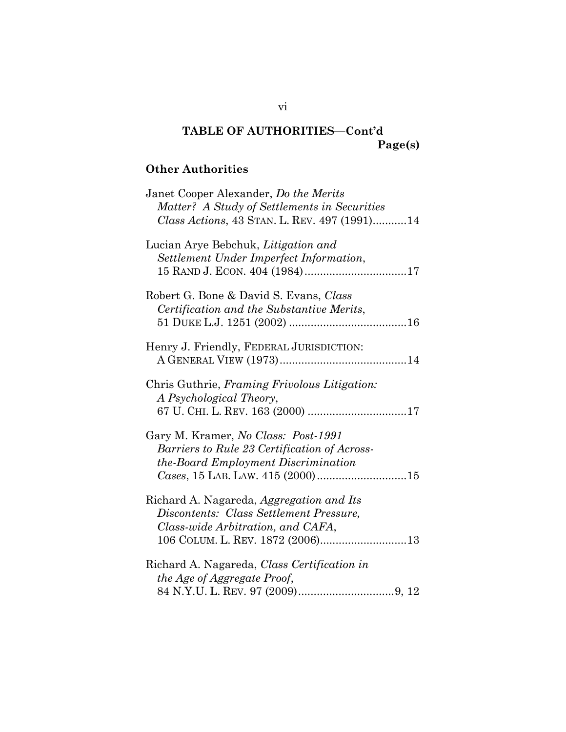### **TABLE OF AUTHORITIES—Cont'd Page(s)**

## **Other Authorities**

| Janet Cooper Alexander, Do the Merits<br>Matter? A Study of Settlements in Securities<br>Class Actions, 43 STAN. L. REV. 497 (1991)14 |
|---------------------------------------------------------------------------------------------------------------------------------------|
| Lucian Arye Bebchuk, Litigation and<br>Settlement Under Imperfect Information,                                                        |
| Robert G. Bone & David S. Evans, Class<br>Certification and the Substantive Merits,                                                   |
| Henry J. Friendly, FEDERAL JURISDICTION:                                                                                              |
| Chris Guthrie, Framing Frivolous Litigation:<br>A Psychological Theory,                                                               |
| Gary M. Kramer, No Class: Post-1991<br>Barriers to Rule 23 Certification of Across-<br>the-Board Employment Discrimination            |
| Richard A. Nagareda, Aggregation and Its<br>Discontents: Class Settlement Pressure,<br>Class-wide Arbitration, and CAFA,              |
| Richard A. Nagareda, Class Certification in<br>the Age of Aggregate Proof,                                                            |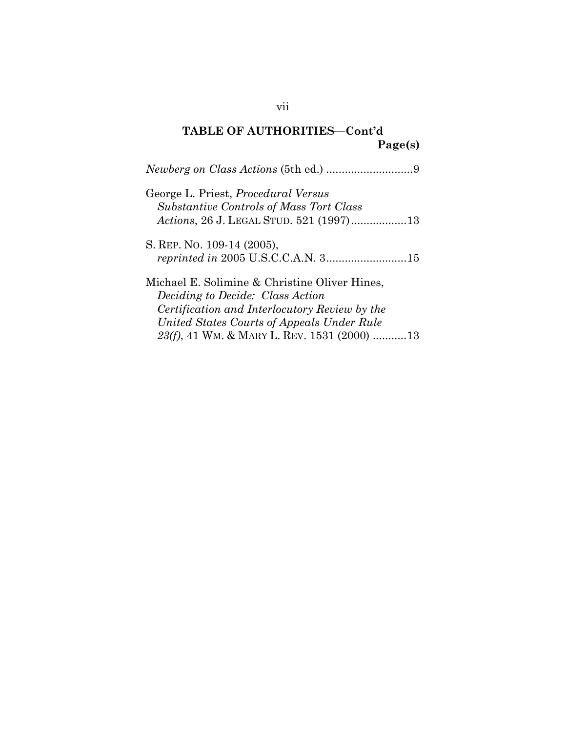## **TABLE OF AUTHORITIES—Cont'd Page(s)**

| George L. Priest, <i>Procedural Versus</i><br><b>Substantive Controls of Mass Tort Class</b> |
|----------------------------------------------------------------------------------------------|
| Actions, 26 J. LEGAL STUD. 521 (1997)13                                                      |
| S. REP. NO. 109-14 (2005),                                                                   |
|                                                                                              |
| Michael E. Solimine & Christine Oliver Hines,                                                |
| <i>Deciding to Decide: Class Action</i>                                                      |
| Certification and Interlocutory Review by the                                                |
| United States Courts of Appeals Under Rule                                                   |
| 23(f), 41 WM. & MARY L. REV. 1531 (2000) 13                                                  |

vii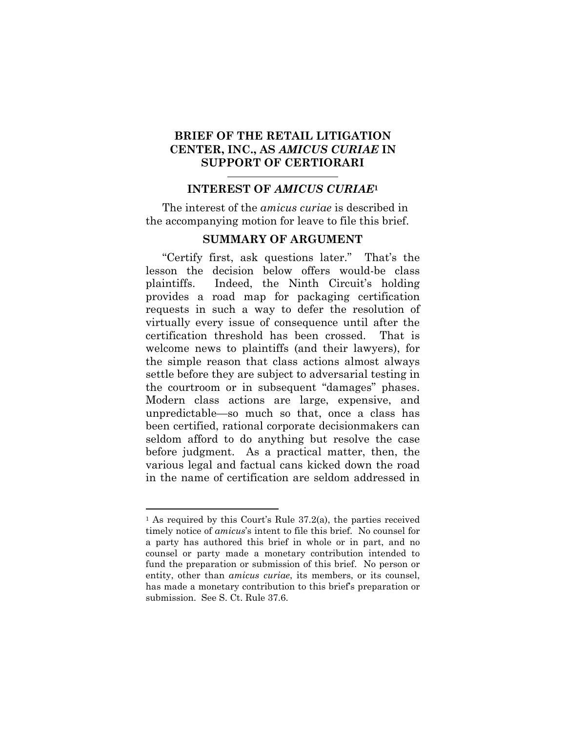#### **BRIEF OF THE RETAIL LITIGATION CENTER, INC., AS** *AMICUS CURIAE* **IN SUPPORT OF CERTIORARI**

#### **INTEREST OF** *AMICUS CURIAE***<sup>1</sup>**

The interest of the *amicus curiae* is described in the accompanying motion for leave to file this brief.

#### **SUMMARY OF ARGUMENT**

"Certify first, ask questions later." That's the lesson the decision below offers would-be class plaintiffs. Indeed, the Ninth Circuit's holding provides a road map for packaging certification requests in such a way to defer the resolution of virtually every issue of consequence until after the certification threshold has been crossed. That is welcome news to plaintiffs (and their lawyers), for the simple reason that class actions almost always settle before they are subject to adversarial testing in the courtroom or in subsequent "damages" phases. Modern class actions are large, expensive, and unpredictable—so much so that, once a class has been certified, rational corporate decisionmakers can seldom afford to do anything but resolve the case before judgment. As a practical matter, then, the various legal and factual cans kicked down the road in the name of certification are seldom addressed in

l

<sup>1</sup> As required by this Court's Rule 37.2(a), the parties received timely notice of *amicus*'s intent to file this brief. No counsel for a party has authored this brief in whole or in part, and no counsel or party made a monetary contribution intended to fund the preparation or submission of this brief. No person or entity, other than *amicus curiae*, its members, or its counsel, has made a monetary contribution to this brief's preparation or submission. See S. Ct. Rule 37.6.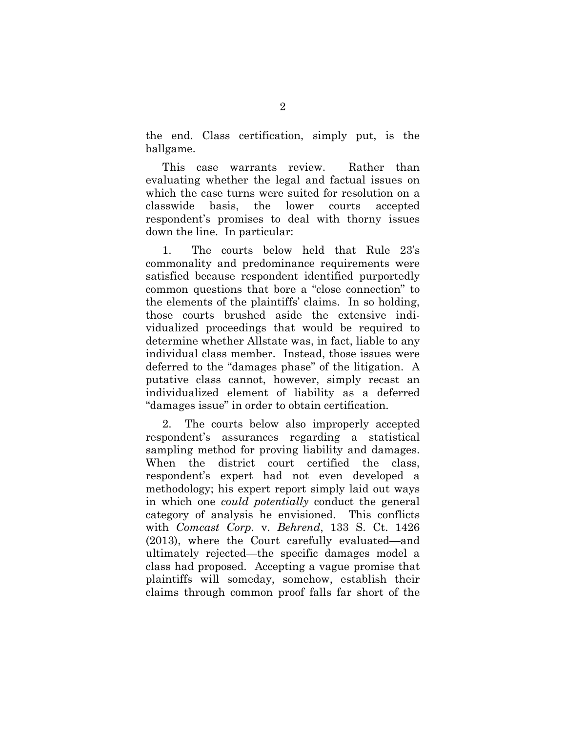the end. Class certification, simply put, is the ballgame.

This case warrants review. Rather than evaluating whether the legal and factual issues on which the case turns were suited for resolution on a classwide basis, the lower courts accepted respondent's promises to deal with thorny issues down the line. In particular:

1. The courts below held that Rule 23's commonality and predominance requirements were satisfied because respondent identified purportedly common questions that bore a "close connection" to the elements of the plaintiffs' claims. In so holding, those courts brushed aside the extensive individualized proceedings that would be required to determine whether Allstate was, in fact, liable to any individual class member. Instead, those issues were deferred to the "damages phase" of the litigation. A putative class cannot, however, simply recast an individualized element of liability as a deferred "damages issue" in order to obtain certification.

2. The courts below also improperly accepted respondent's assurances regarding a statistical sampling method for proving liability and damages. When the district court certified the class, respondent's expert had not even developed a methodology; his expert report simply laid out ways in which one *could potentially* conduct the general category of analysis he envisioned. This conflicts with *Comcast Corp.* v. *Behrend*, 133 S. Ct. 1426 (2013), where the Court carefully evaluated—and ultimately rejected—the specific damages model a class had proposed. Accepting a vague promise that plaintiffs will someday, somehow, establish their claims through common proof falls far short of the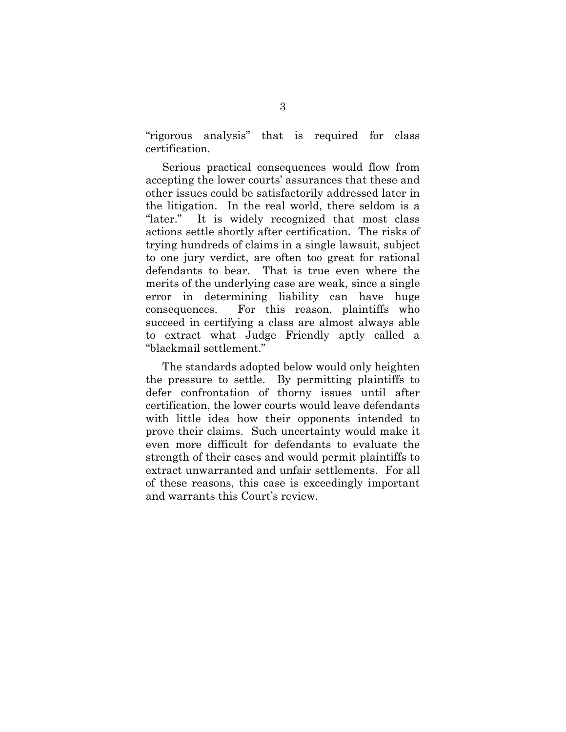"rigorous analysis" that is required for class certification.

Serious practical consequences would flow from accepting the lower courts' assurances that these and other issues could be satisfactorily addressed later in the litigation. In the real world, there seldom is a "later." It is widely recognized that most class actions settle shortly after certification. The risks of trying hundreds of claims in a single lawsuit, subject to one jury verdict, are often too great for rational defendants to bear. That is true even where the merits of the underlying case are weak, since a single error in determining liability can have huge consequences. For this reason, plaintiffs who succeed in certifying a class are almost always able to extract what Judge Friendly aptly called a "blackmail settlement."

The standards adopted below would only heighten the pressure to settle. By permitting plaintiffs to defer confrontation of thorny issues until after certification, the lower courts would leave defendants with little idea how their opponents intended to prove their claims. Such uncertainty would make it even more difficult for defendants to evaluate the strength of their cases and would permit plaintiffs to extract unwarranted and unfair settlements. For all of these reasons, this case is exceedingly important and warrants this Court's review.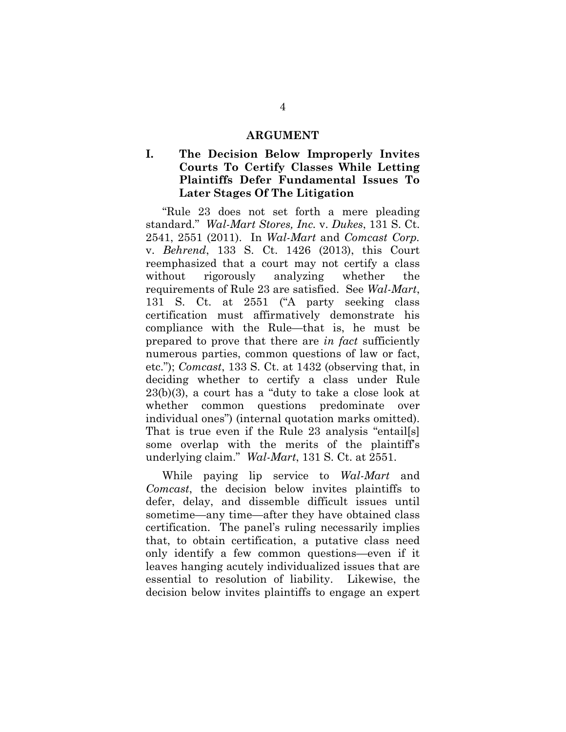#### **ARGUMENT**

#### **I. The Decision Below Improperly Invites Courts To Certify Classes While Letting Plaintiffs Defer Fundamental Issues To Later Stages Of The Litigation**

"Rule 23 does not set forth a mere pleading standard." *Wal-Mart Stores, Inc.* v. *Dukes*, 131 S. Ct. 2541, 2551 (2011). In *Wal-Mart* and *Comcast Corp.*  v. *Behrend*, 133 S. Ct. 1426 (2013), this Court reemphasized that a court may not certify a class without rigorously analyzing whether the requirements of Rule 23 are satisfied. See *Wal-Mart*, 131 S. Ct. at 2551 ("A party seeking class certification must affirmatively demonstrate his compliance with the Rule—that is, he must be prepared to prove that there are *in fact* sufficiently numerous parties, common questions of law or fact, etc."); *Comcast*, 133 S. Ct. at 1432 (observing that, in deciding whether to certify a class under Rule 23(b)(3), a court has a "duty to take a close look at whether common questions predominate over individual ones") (internal quotation marks omitted). That is true even if the Rule 23 analysis "entail[s] some overlap with the merits of the plaintiff's underlying claim." *Wal-Mart*, 131 S. Ct. at 2551.

While paying lip service to *Wal-Mart* and *Comcast*, the decision below invites plaintiffs to defer, delay, and dissemble difficult issues until sometime—any time—after they have obtained class certification. The panel's ruling necessarily implies that, to obtain certification, a putative class need only identify a few common questions—even if it leaves hanging acutely individualized issues that are essential to resolution of liability. Likewise, the decision below invites plaintiffs to engage an expert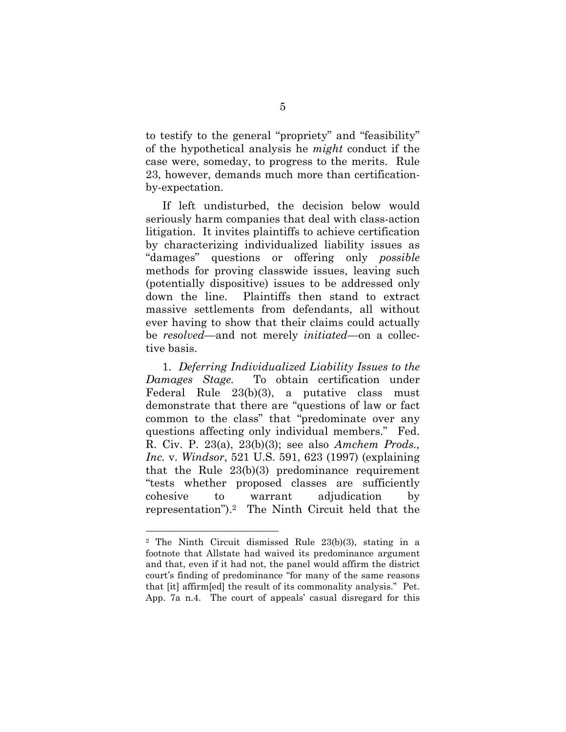to testify to the general "propriety" and "feasibility" of the hypothetical analysis he *might* conduct if the case were, someday, to progress to the merits. Rule 23, however, demands much more than certificationby-expectation.

If left undisturbed, the decision below would seriously harm companies that deal with class-action litigation. It invites plaintiffs to achieve certification by characterizing individualized liability issues as "damages" questions or offering only *possible* methods for proving classwide issues, leaving such (potentially dispositive) issues to be addressed only down the line. Plaintiffs then stand to extract massive settlements from defendants, all without ever having to show that their claims could actually be *resolved*—and not merely *initiated*—on a collective basis.

1. *Deferring Individualized Liability Issues to the Damages Stage.* To obtain certification under Federal Rule 23(b)(3), a putative class must demonstrate that there are "questions of law or fact common to the class" that "predominate over any questions affecting only individual members." Fed. R. Civ. P. 23(a), 23(b)(3); see also *Amchem Prods., Inc.* v. *Windsor*, 521 U.S. 591, 623 (1997) (explaining that the Rule 23(b)(3) predominance requirement "tests whether proposed classes are sufficiently cohesive to warrant adjudication by representation").2 The Ninth Circuit held that the

<sup>2</sup> The Ninth Circuit dismissed Rule 23(b)(3), stating in a footnote that Allstate had waived its predominance argument and that, even if it had not, the panel would affirm the district court's finding of predominance "for many of the same reasons that [it] affirm[ed] the result of its commonality analysis." Pet. App. 7a n.4. The court of appeals' casual disregard for this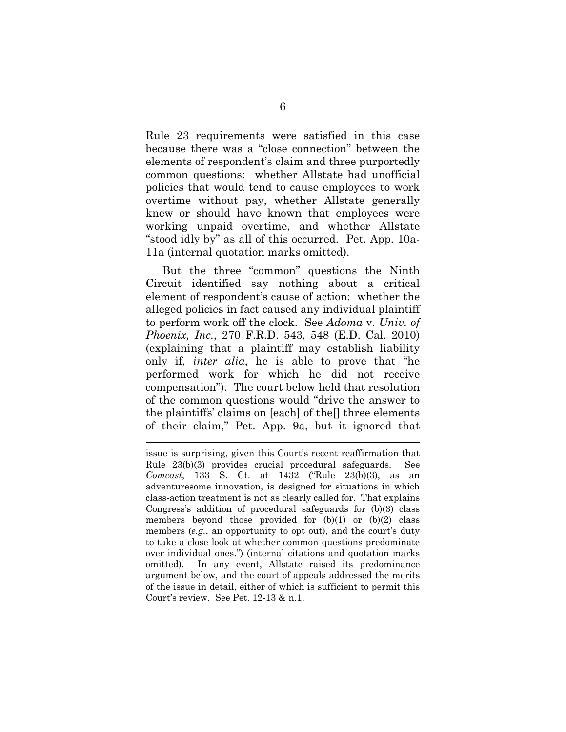Rule 23 requirements were satisfied in this case because there was a "close connection" between the elements of respondent's claim and three purportedly common questions: whether Allstate had unofficial policies that would tend to cause employees to work overtime without pay, whether Allstate generally knew or should have known that employees were working unpaid overtime, and whether Allstate "stood idly by" as all of this occurred. Pet. App. 10a-11a (internal quotation marks omitted).

But the three "common" questions the Ninth Circuit identified say nothing about a critical element of respondent's cause of action: whether the alleged policies in fact caused any individual plaintiff to perform work off the clock. See *Adoma* v. *Univ. of Phoenix, Inc.*, 270 F.R.D. 543, 548 (E.D. Cal. 2010) (explaining that a plaintiff may establish liability only if, *inter alia*, he is able to prove that "he performed work for which he did not receive compensation"). The court below held that resolution of the common questions would "drive the answer to the plaintiffs' claims on [each] of the[] three elements of their claim," Pet. App. 9a, but it ignored that

l

issue is surprising, given this Court's recent reaffirmation that Rule 23(b)(3) provides crucial procedural safeguards. See *Comcast*, 133 S. Ct. at 1432 ("Rule 23(b)(3), as an adventuresome innovation, is designed for situations in which class-action treatment is not as clearly called for. That explains Congress's addition of procedural safeguards for (b)(3) class members beyond those provided for  $(b)(1)$  or  $(b)(2)$  class members (*e.g.*, an opportunity to opt out), and the court's duty to take a close look at whether common questions predominate over individual ones.") (internal citations and quotation marks omitted). In any event, Allstate raised its predominance argument below, and the court of appeals addressed the merits of the issue in detail, either of which is sufficient to permit this Court's review. See Pet. 12-13 & n.1.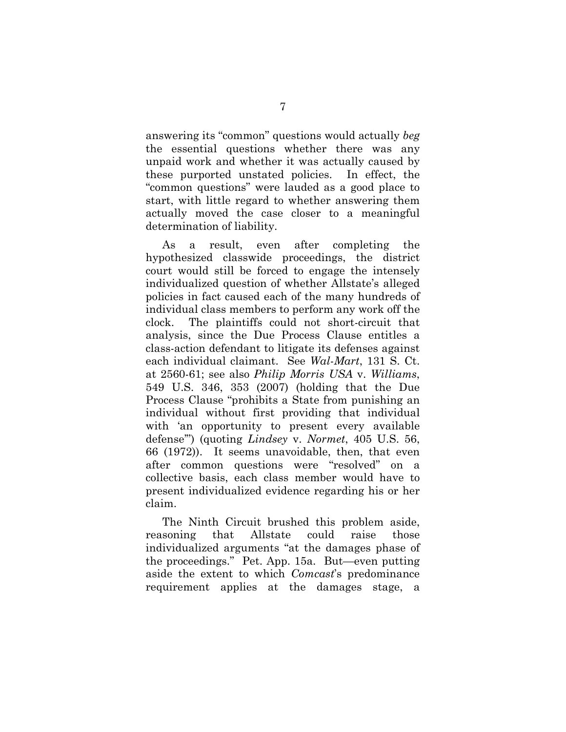answering its "common" questions would actually *beg*  the essential questions whether there was any unpaid work and whether it was actually caused by these purported unstated policies. In effect, the "common questions" were lauded as a good place to start, with little regard to whether answering them actually moved the case closer to a meaningful determination of liability.

As a result, even after completing the hypothesized classwide proceedings, the district court would still be forced to engage the intensely individualized question of whether Allstate's alleged policies in fact caused each of the many hundreds of individual class members to perform any work off the clock. The plaintiffs could not short-circuit that analysis, since the Due Process Clause entitles a class-action defendant to litigate its defenses against each individual claimant. See *Wal-Mart*, 131 S. Ct. at 2560-61; see also *Philip Morris USA* v. *Williams*, 549 U.S. 346, 353 (2007) (holding that the Due Process Clause "prohibits a State from punishing an individual without first providing that individual with 'an opportunity to present every available defense'") (quoting *Lindsey* v. *Normet*, 405 U.S. 56, 66 (1972)). It seems unavoidable, then, that even after common questions were "resolved" on a collective basis, each class member would have to present individualized evidence regarding his or her claim.

The Ninth Circuit brushed this problem aside, reasoning that Allstate could raise those individualized arguments "at the damages phase of the proceedings." Pet. App. 15a. But—even putting aside the extent to which *Comcast*'s predominance requirement applies at the damages stage, a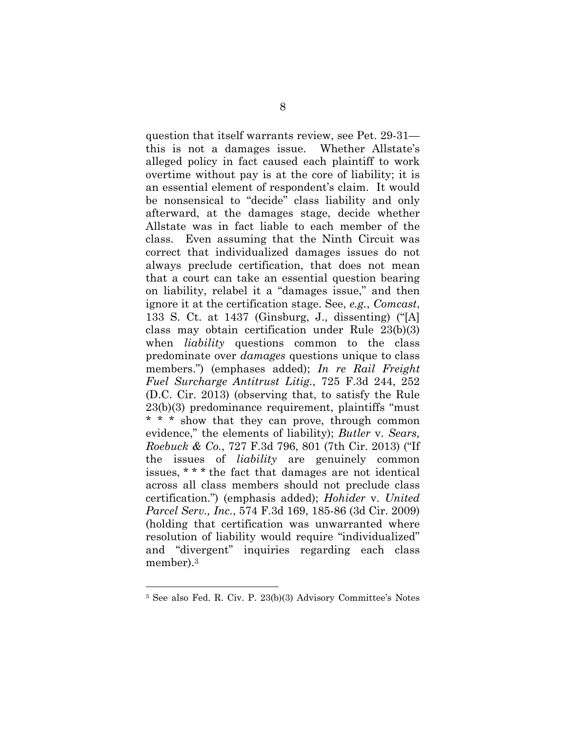question that itself warrants review, see Pet. 29-31 this is not a damages issue. Whether Allstate's alleged policy in fact caused each plaintiff to work overtime without pay is at the core of liability; it is an essential element of respondent's claim. It would be nonsensical to "decide" class liability and only afterward, at the damages stage, decide whether Allstate was in fact liable to each member of the class. Even assuming that the Ninth Circuit was correct that individualized damages issues do not always preclude certification, that does not mean that a court can take an essential question bearing on liability, relabel it a "damages issue," and then ignore it at the certification stage. See, *e.g.*, *Comcast*, 133 S. Ct. at 1437 (Ginsburg, J., dissenting) ("[A] class may obtain certification under Rule 23(b)(3) when *liability* questions common to the class predominate over *damages* questions unique to class members.") (emphases added); *In re Rail Freight Fuel Surcharge Antitrust Litig.*, 725 F.3d 244, 252 (D.C. Cir. 2013) (observing that, to satisfy the Rule 23(b)(3) predominance requirement, plaintiffs "must \* \* \* show that they can prove, through common evidence," the elements of liability); *Butler* v. *Sears, Roebuck & Co.*, 727 F.3d 796, 801 (7th Cir. 2013) ("If the issues of *liability* are genuinely common issues, \* \* \* the fact that damages are not identical across all class members should not preclude class certification.") (emphasis added); *Hohider* v. *United Parcel Serv., Inc.*, 574 F.3d 169, 185-86 (3d Cir. 2009) (holding that certification was unwarranted where resolution of liability would require "individualized" and "divergent" inquiries regarding each class member).3

l

<sup>3</sup> See also Fed. R. Civ. P. 23(b)(3) Advisory Committee's Notes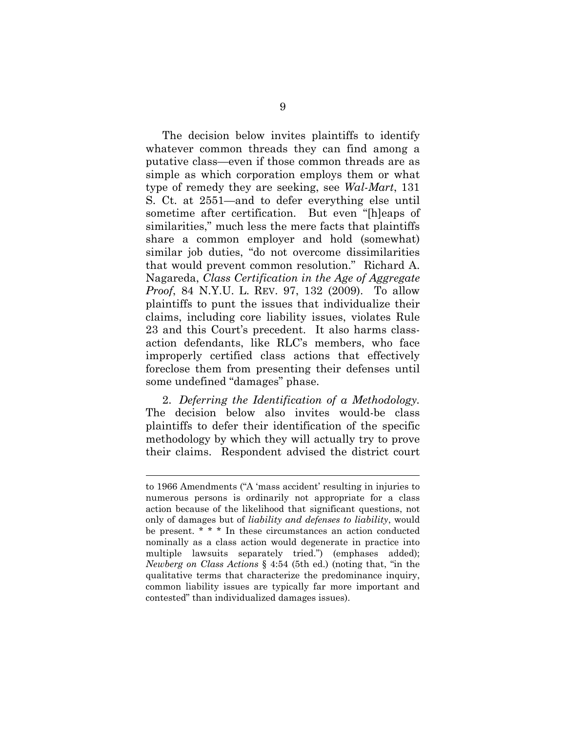The decision below invites plaintiffs to identify whatever common threads they can find among a putative class—even if those common threads are as simple as which corporation employs them or what type of remedy they are seeking, see *Wal-Mart*, 131 S. Ct. at 2551—and to defer everything else until sometime after certification. But even "[h]eaps of similarities," much less the mere facts that plaintiffs share a common employer and hold (somewhat) similar job duties, "do not overcome dissimilarities that would prevent common resolution." Richard A. Nagareda, *Class Certification in the Age of Aggregate Proof*, 84 N.Y.U. L. REV. 97, 132 (2009). To allow plaintiffs to punt the issues that individualize their claims, including core liability issues, violates Rule 23 and this Court's precedent. It also harms classaction defendants, like RLC's members, who face improperly certified class actions that effectively foreclose them from presenting their defenses until some undefined "damages" phase.

2. *Deferring the Identification of a Methodology.* The decision below also invites would-be class plaintiffs to defer their identification of the specific methodology by which they will actually try to prove their claims. Respondent advised the district court

l

to 1966 Amendments ("A 'mass accident' resulting in injuries to numerous persons is ordinarily not appropriate for a class action because of the likelihood that significant questions, not only of damages but of *liability and defenses to liability*, would be present. \* \* \* In these circumstances an action conducted nominally as a class action would degenerate in practice into multiple lawsuits separately tried.") (emphases added); *Newberg on Class Actions* § 4:54 (5th ed.) (noting that, "in the qualitative terms that characterize the predominance inquiry, common liability issues are typically far more important and contested" than individualized damages issues).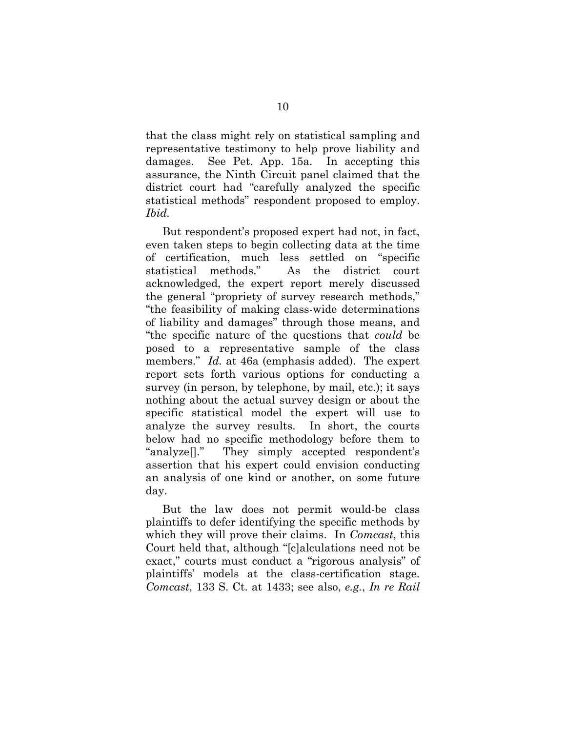that the class might rely on statistical sampling and representative testimony to help prove liability and damages. See Pet. App. 15a. In accepting this assurance, the Ninth Circuit panel claimed that the district court had "carefully analyzed the specific statistical methods" respondent proposed to employ. *Ibid.* 

But respondent's proposed expert had not, in fact, even taken steps to begin collecting data at the time of certification, much less settled on "specific statistical methods." As the district court acknowledged, the expert report merely discussed the general "propriety of survey research methods," "the feasibility of making class-wide determinations of liability and damages" through those means, and "the specific nature of the questions that *could* be posed to a representative sample of the class members." *Id.* at 46a (emphasis added). The expert report sets forth various options for conducting a survey (in person, by telephone, by mail, etc.); it says nothing about the actual survey design or about the specific statistical model the expert will use to analyze the survey results. In short, the courts below had no specific methodology before them to "analyze[]." They simply accepted respondent's assertion that his expert could envision conducting an analysis of one kind or another, on some future day.

But the law does not permit would-be class plaintiffs to defer identifying the specific methods by which they will prove their claims. In *Comcast*, this Court held that, although "[c]alculations need not be exact," courts must conduct a "rigorous analysis" of plaintiffs' models at the class-certification stage. *Comcast*, 133 S. Ct. at 1433; see also, *e.g.*, *In re Rail*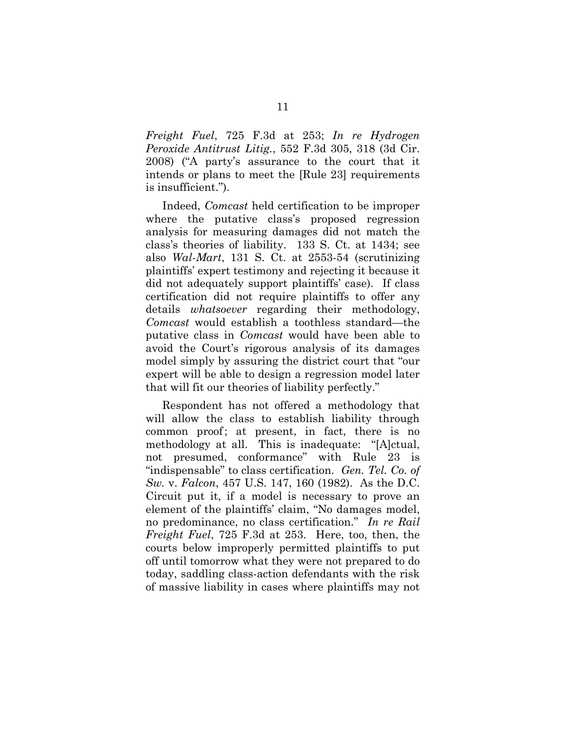*Freight Fuel*, 725 F.3d at 253; *In re Hydrogen Peroxide Antitrust Litig.*, 552 F.3d 305, 318 (3d Cir. 2008) ("A party's assurance to the court that it intends or plans to meet the [Rule 23] requirements is insufficient.").

Indeed, *Comcast* held certification to be improper where the putative class's proposed regression analysis for measuring damages did not match the class's theories of liability. 133 S. Ct. at 1434; see also *Wal-Mart*, 131 S. Ct. at 2553-54 (scrutinizing plaintiffs' expert testimony and rejecting it because it did not adequately support plaintiffs' case). If class certification did not require plaintiffs to offer any details *whatsoever* regarding their methodology, *Comcast* would establish a toothless standard—the putative class in *Comcast* would have been able to avoid the Court's rigorous analysis of its damages model simply by assuring the district court that "our expert will be able to design a regression model later that will fit our theories of liability perfectly."

Respondent has not offered a methodology that will allow the class to establish liability through common proof; at present, in fact, there is no methodology at all. This is inadequate: "[A]ctual, not presumed, conformance" with Rule 23 is "indispensable" to class certification. *Gen. Tel. Co. of Sw.* v. *Falcon*, 457 U.S. 147, 160 (1982). As the D.C. Circuit put it, if a model is necessary to prove an element of the plaintiffs' claim, "No damages model, no predominance, no class certification." *In re Rail Freight Fuel*, 725 F.3d at 253. Here, too, then, the courts below improperly permitted plaintiffs to put off until tomorrow what they were not prepared to do today, saddling class-action defendants with the risk of massive liability in cases where plaintiffs may not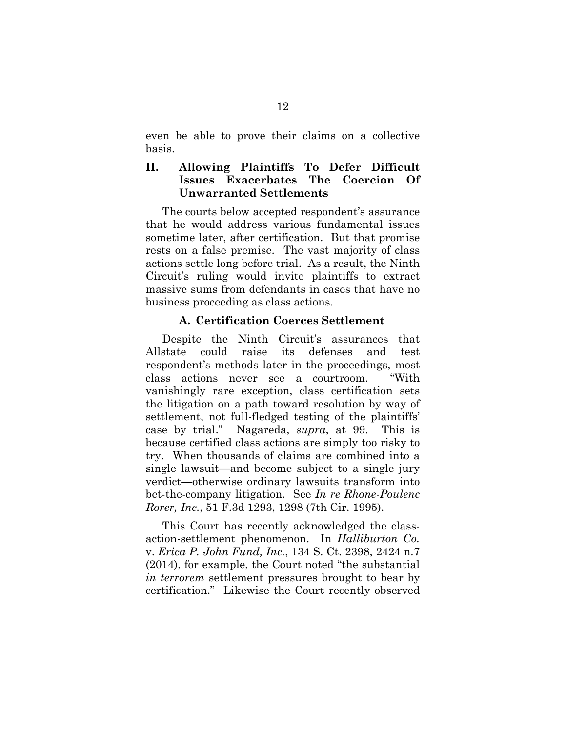even be able to prove their claims on a collective basis.

#### **II. Allowing Plaintiffs To Defer Difficult Issues Exacerbates The Coercion Of Unwarranted Settlements**

The courts below accepted respondent's assurance that he would address various fundamental issues sometime later, after certification. But that promise rests on a false premise. The vast majority of class actions settle long before trial. As a result, the Ninth Circuit's ruling would invite plaintiffs to extract massive sums from defendants in cases that have no business proceeding as class actions.

#### **A. Certification Coerces Settlement**

Despite the Ninth Circuit's assurances that Allstate could raise its defenses and test respondent's methods later in the proceedings, most class actions never see a courtroom. "With vanishingly rare exception, class certification sets the litigation on a path toward resolution by way of settlement, not full-fledged testing of the plaintiffs' case by trial." Nagareda, *supra*, at 99. This is because certified class actions are simply too risky to try. When thousands of claims are combined into a single lawsuit—and become subject to a single jury verdict—otherwise ordinary lawsuits transform into bet-the-company litigation. See *In re Rhone-Poulenc Rorer, Inc.*, 51 F.3d 1293, 1298 (7th Cir. 1995).

This Court has recently acknowledged the classaction-settlement phenomenon. In *Halliburton Co.*  v. *Erica P. John Fund, Inc.*, 134 S. Ct. 2398, 2424 n.7 (2014), for example, the Court noted "the substantial *in terrorem* settlement pressures brought to bear by certification." Likewise the Court recently observed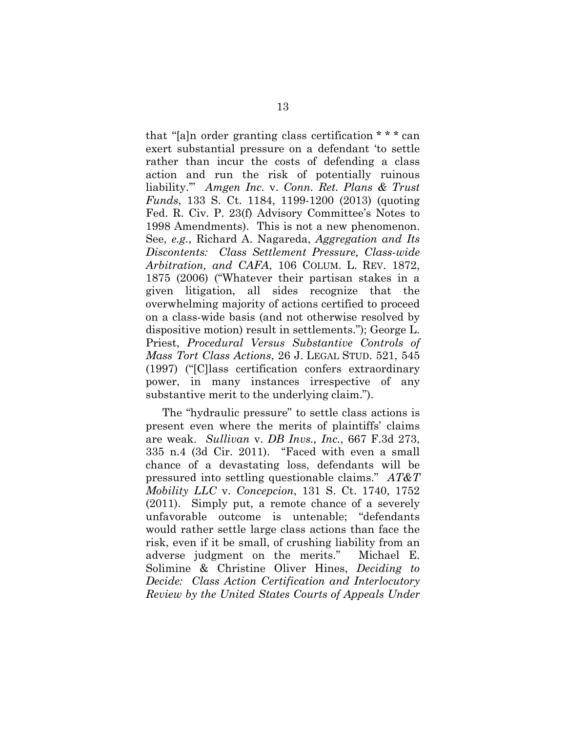that "[a]n order granting class certification \* \* \* can exert substantial pressure on a defendant 'to settle rather than incur the costs of defending a class action and run the risk of potentially ruinous liability.'" *Amgen Inc.* v. *Conn. Ret. Plans & Trust Funds*, 133 S. Ct. 1184, 1199-1200 (2013) (quoting Fed. R. Civ. P. 23(f) Advisory Committee's Notes to 1998 Amendments). This is not a new phenomenon. See, *e.g.*, Richard A. Nagareda, *Aggregation and Its Discontents: Class Settlement Pressure, Class-wide Arbitration, and CAFA*, 106 COLUM. L. REV. 1872, 1875 (2006) ("Whatever their partisan stakes in a given litigation, all sides recognize that the overwhelming majority of actions certified to proceed on a class-wide basis (and not otherwise resolved by dispositive motion) result in settlements."); George L. Priest, *Procedural Versus Substantive Controls of Mass Tort Class Actions*, 26 J. LEGAL STUD. 521, 545 (1997) ("[C]lass certification confers extraordinary power, in many instances irrespective of any substantive merit to the underlying claim.").

The "hydraulic pressure" to settle class actions is present even where the merits of plaintiffs' claims are weak. *Sullivan* v. *DB Invs., Inc.*, 667 F.3d 273, 335 n.4 (3d Cir. 2011). "Faced with even a small chance of a devastating loss, defendants will be pressured into settling questionable claims." *AT&T Mobility LLC* v. *Concepcion*, 131 S. Ct. 1740, 1752 (2011). Simply put, a remote chance of a severely unfavorable outcome is untenable; "defendants would rather settle large class actions than face the risk, even if it be small, of crushing liability from an adverse judgment on the merits." Michael E. Solimine & Christine Oliver Hines, *Deciding to Decide: Class Action Certification and Interlocutory Review by the United States Courts of Appeals Under*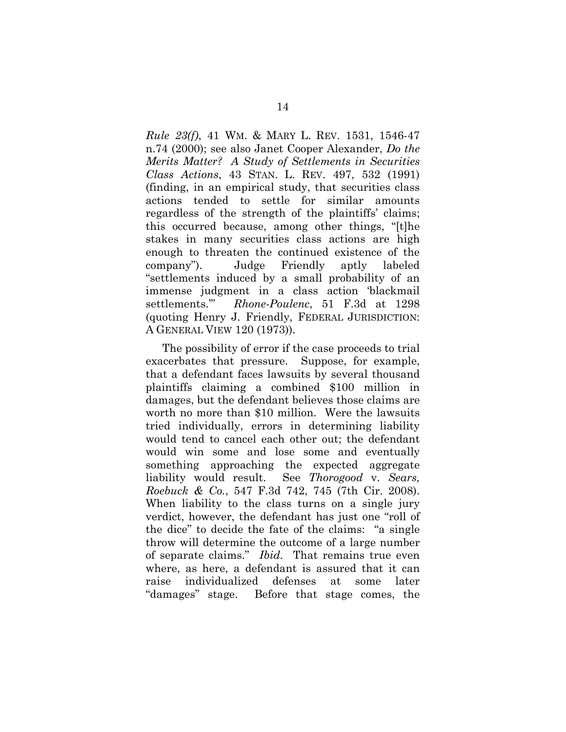*Rule 23(f)*, 41 WM. & MARY L. REV. 1531, 1546-47 n.74 (2000); see also Janet Cooper Alexander, *Do the Merits Matter? A Study of Settlements in Securities Class Actions*, 43 STAN. L. REV. 497, 532 (1991) (finding, in an empirical study, that securities class actions tended to settle for similar amounts regardless of the strength of the plaintiffs' claims; this occurred because, among other things, "[t]he stakes in many securities class actions are high enough to threaten the continued existence of the company"). Judge Friendly aptly labeled "settlements induced by a small probability of an immense judgment in a class action 'blackmail settlements.'" *Rhone-Poulenc*, 51 F.3d at 1298 (quoting Henry J. Friendly, FEDERAL JURISDICTION: A GENERAL VIEW 120 (1973)).

The possibility of error if the case proceeds to trial exacerbates that pressure. Suppose, for example, that a defendant faces lawsuits by several thousand plaintiffs claiming a combined \$100 million in damages, but the defendant believes those claims are worth no more than \$10 million. Were the lawsuits tried individually, errors in determining liability would tend to cancel each other out; the defendant would win some and lose some and eventually something approaching the expected aggregate liability would result. See *Thorogood* v. *Sears, Roebuck & Co.*, 547 F.3d 742, 745 (7th Cir. 2008). When liability to the class turns on a single jury verdict, however, the defendant has just one "roll of the dice" to decide the fate of the claims: "a single throw will determine the outcome of a large number of separate claims." *Ibid.* That remains true even where, as here, a defendant is assured that it can raise individualized defenses at some later "damages" stage. Before that stage comes, the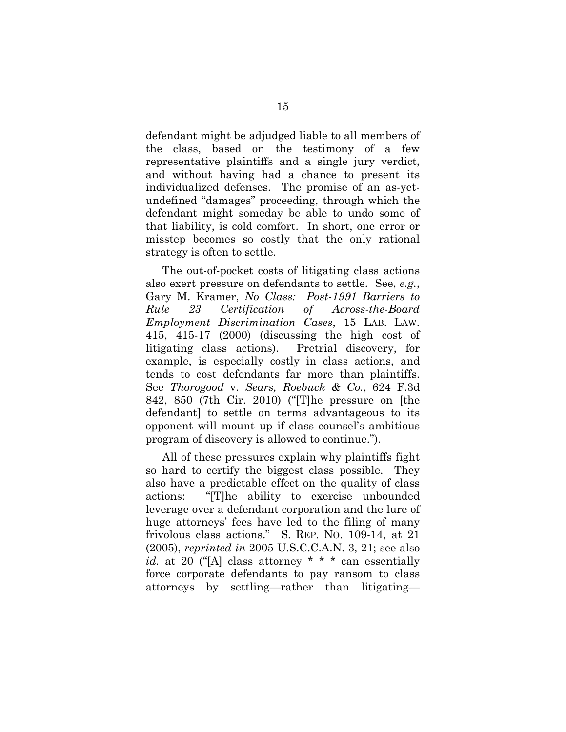defendant might be adjudged liable to all members of the class, based on the testimony of a few representative plaintiffs and a single jury verdict, and without having had a chance to present its individualized defenses. The promise of an as-yetundefined "damages" proceeding, through which the defendant might someday be able to undo some of that liability, is cold comfort. In short, one error or misstep becomes so costly that the only rational strategy is often to settle.

The out-of-pocket costs of litigating class actions also exert pressure on defendants to settle. See, *e.g.*, Gary M. Kramer, *No Class: Post-1991 Barriers to Rule 23 Certification of Across-the-Board Employment Discrimination Cases*, 15 LAB. LAW. 415, 415-17 (2000) (discussing the high cost of litigating class actions). Pretrial discovery, for example, is especially costly in class actions, and tends to cost defendants far more than plaintiffs. See *Thorogood* v. *Sears, Roebuck & Co.*, 624 F.3d 842, 850 (7th Cir. 2010) ("[T]he pressure on [the defendant] to settle on terms advantageous to its opponent will mount up if class counsel's ambitious program of discovery is allowed to continue.").

All of these pressures explain why plaintiffs fight so hard to certify the biggest class possible. They also have a predictable effect on the quality of class actions: "[T]he ability to exercise unbounded leverage over a defendant corporation and the lure of huge attorneys' fees have led to the filing of many frivolous class actions." S. REP. NO. 109-14, at 21 (2005), *reprinted in* 2005 U.S.C.C.A.N. 3, 21; see also *id.* at 20 ("[A] class attorney \* \* \* can essentially force corporate defendants to pay ransom to class attorneys by settling—rather than litigating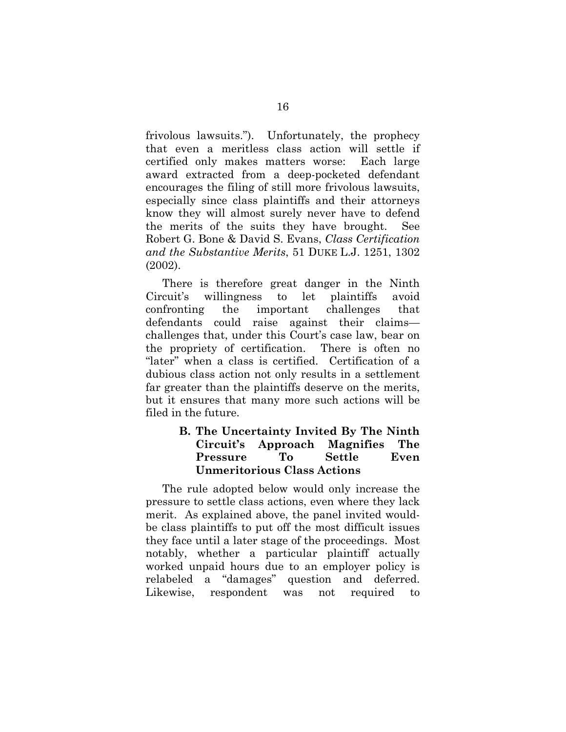frivolous lawsuits."). Unfortunately, the prophecy that even a meritless class action will settle if certified only makes matters worse: Each large award extracted from a deep-pocketed defendant encourages the filing of still more frivolous lawsuits, especially since class plaintiffs and their attorneys know they will almost surely never have to defend the merits of the suits they have brought. See Robert G. Bone & David S. Evans, *Class Certification and the Substantive Merits*, 51 DUKE L.J. 1251, 1302 (2002).

There is therefore great danger in the Ninth Circuit's willingness to let plaintiffs avoid confronting the important challenges that defendants could raise against their claims challenges that, under this Court's case law, bear on the propriety of certification. There is often no "later" when a class is certified. Certification of a dubious class action not only results in a settlement far greater than the plaintiffs deserve on the merits, but it ensures that many more such actions will be filed in the future.

#### **B. The Uncertainty Invited By The Ninth Circuit's Approach Magnifies The Pressure To Settle Even Unmeritorious Class Actions**

The rule adopted below would only increase the pressure to settle class actions, even where they lack merit. As explained above, the panel invited wouldbe class plaintiffs to put off the most difficult issues they face until a later stage of the proceedings. Most notably, whether a particular plaintiff actually worked unpaid hours due to an employer policy is relabeled a "damages" question and deferred. Likewise, respondent was not required to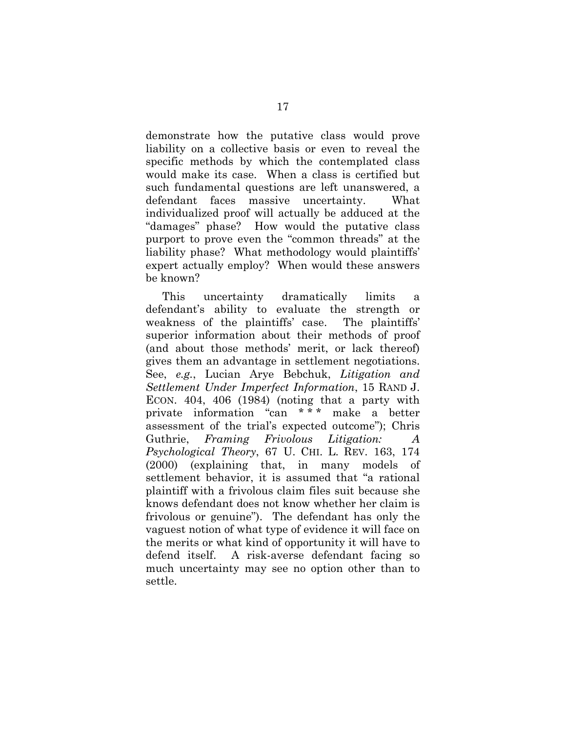demonstrate how the putative class would prove liability on a collective basis or even to reveal the specific methods by which the contemplated class would make its case. When a class is certified but such fundamental questions are left unanswered, a defendant faces massive uncertainty. What individualized proof will actually be adduced at the "damages" phase? How would the putative class purport to prove even the "common threads" at the liability phase? What methodology would plaintiffs' expert actually employ? When would these answers be known?

This uncertainty dramatically limits a defendant's ability to evaluate the strength or weakness of the plaintiffs' case. The plaintiffs' superior information about their methods of proof (and about those methods' merit, or lack thereof) gives them an advantage in settlement negotiations. See, *e.g.*, Lucian Arye Bebchuk, *Litigation and Settlement Under Imperfect Information*, 15 RAND J. ECON. 404, 406 (1984) (noting that a party with private information "can \* \* \* make a better assessment of the trial's expected outcome"); Chris Guthrie, *Framing Frivolous Litigation: A Psychological Theory*, 67 U. CHI. L. REV. 163, 174 (2000) (explaining that, in many models of settlement behavior, it is assumed that "a rational plaintiff with a frivolous claim files suit because she knows defendant does not know whether her claim is frivolous or genuine"). The defendant has only the vaguest notion of what type of evidence it will face on the merits or what kind of opportunity it will have to defend itself. A risk-averse defendant facing so much uncertainty may see no option other than to settle.